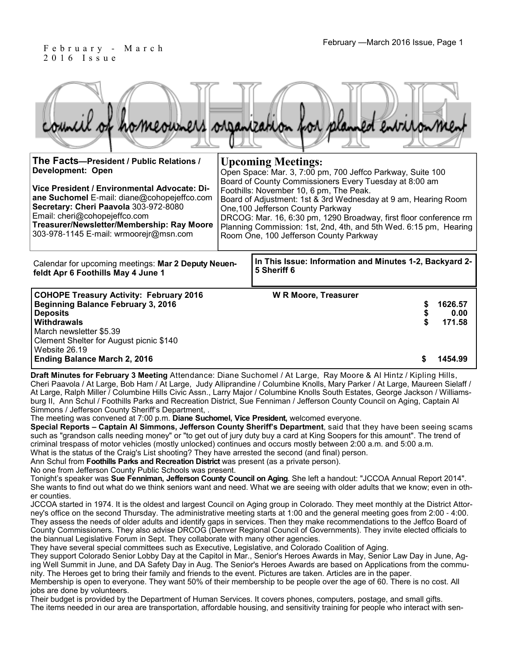#### February —March 2016 Issue, Page 1 F e b r u a r y - M a r c h 2 0 1 6 I s s u e

|                                          | council of homeowners organization for planned entromment |
|------------------------------------------|-----------------------------------------------------------|
| The Facts-President / Public Relations / | <b>Upcoming Meetings:</b>                                 |

| <b>Development: Open</b><br>Vice President / Environmental Advocate: Di-<br>ane Suchomel E-mail: diane@cohopejeffco.com<br>Secretary: Cheri Paavola 303-972-8080<br>Email: cheri@cohopejeffco.com<br>Treasurer/Newsletter/Membership: Ray Moore<br>303-978-1145 E-mail: wrmoorejr@msn.com | $\sim$ promine intermedi<br>Open Space: Mar. 3, 7:00 pm, 700 Jeffco Parkway, Suite 100<br>Board of County Commissioners Every Tuesday at 8:00 am<br>Foothills: November 10, 6 pm, The Peak.<br>Board of Adjustment: 1st & 3rd Wednesday at 9 am, Hearing Room<br>One, 100 Jefferson County Parkway<br>DRCOG: Mar. 16, 6:30 pm, 1290 Broadway, first floor conference rm<br>Planning Commission: 1st, 2nd, 4th, and 5th Wed. 6:15 pm, Hearing<br>Room One, 100 Jefferson County Parkway |                                                                        |                           |  |
|-------------------------------------------------------------------------------------------------------------------------------------------------------------------------------------------------------------------------------------------------------------------------------------------|----------------------------------------------------------------------------------------------------------------------------------------------------------------------------------------------------------------------------------------------------------------------------------------------------------------------------------------------------------------------------------------------------------------------------------------------------------------------------------------|------------------------------------------------------------------------|---------------------------|--|
| Calendar for upcoming meetings: Mar 2 Deputy Neuen-<br>feldt Apr 6 Foothills May 4 June 1                                                                                                                                                                                                 |                                                                                                                                                                                                                                                                                                                                                                                                                                                                                        | In This Issue: Information and Minutes 1-2, Backyard 2-<br>5 Sheriff 6 |                           |  |
| <b>COHOPE Treasury Activity: February 2016</b><br><b>Beginning Balance February 3, 2016</b><br><b>Deposits</b><br>Withdrawals<br>March newsletter \$5.39<br>Clement Shelter for August picnic \$140<br>Website 26.19                                                                      |                                                                                                                                                                                                                                                                                                                                                                                                                                                                                        | <b>W R Moore, Treasurer</b><br>\$                                      | 1626.57<br>0.00<br>171.58 |  |
| <b>Ending Balance March 2, 2016</b>                                                                                                                                                                                                                                                       |                                                                                                                                                                                                                                                                                                                                                                                                                                                                                        |                                                                        | 1454.99                   |  |

**Draft Minutes for February 3 Meeting** Attendance: Diane Suchomel / At Large, Ray Moore & Al Hintz / Kipling Hills, Cheri Paavola / At Large, Bob Ham / At Large, Judy Alliprandine / Columbine Knolls, Mary Parker / At Large, Maureen Sielaff / At Large, Ralph Miller / Columbine Hills Civic Assn., Larry Major / Columbine Knolls South Estates, George Jackson / Williamsburg II, Ann Schul / Foothills Parks and Recreation District, Sue Fenniman / Jefferson County Council on Aging, Captain Al Simmons / Jefferson County Sheriff's Department, .

The meeting was convened at 7:00 p.m. **Diane Suchomel, Vice President,** welcomed everyone.

**Special Reports – Captain Al Simmons, Jefferson County Sheriff's Department**, said that they have been seeing scams such as "grandson calls needing money" or "to get out of jury duty buy a card at King Soopers for this amount". The trend of criminal trespass of motor vehicles (mostly unlocked) continues and occurs mostly between 2:00 a.m. and 5:00 a.m. What is the status of the Craig's List shooting? They have arrested the second (and final) person.

Ann Schul from **Foothills Parks and Recreation District** was present (as a private person).

No one from Jefferson County Public Schools was present.

Tonight's speaker was **Sue Fenniman, Jefferson County Council on Aging**. She left a handout: "JCCOA Annual Report 2014". She wants to find out what do we think seniors want and need. What we are seeing with older adults that we know; even in other counties.

JCCOA started in 1974. It is the oldest and largest Council on Aging group in Colorado. They meet monthly at the District Attorney's office on the second Thursday. The administrative meeting starts at 1:00 and the general meeting goes from 2:00 - 4:00. They assess the needs of older adults and identify gaps in services. Then they make recommendations to the Jeffco Board of County Commissioners. They also advise DRCOG (Denver Regional Council of Governments). They invite elected officials to the biannual Legislative Forum in Sept. They collaborate with many other agencies.

They have several special committees such as Executive, Legislative, and Colorado Coalition of Aging.

They support Colorado Senior Lobby Day at the Capitol in Mar., Senior's Heroes Awards in May, Senior Law Day in June, Aging Well Summit in June, and DA Safety Day in Aug. The Senior's Heroes Awards are based on Applications from the community. The Heroes get to bring their family and friends to the event. Pictures are taken. Articles are in the paper.

Membership is open to everyone. They want 50% of their membership to be people over the age of 60. There is no cost. All jobs are done by volunteers.

Their budget is provided by the Department of Human Services. It covers phones, computers, postage, and small gifts. The items needed in our area are transportation, affordable housing, and sensitivity training for people who interact with sen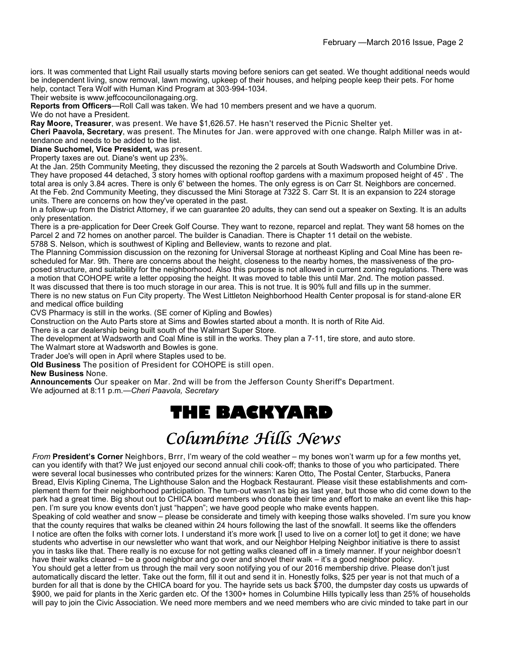iors. It was commented that Light Rail usually starts moving before seniors can get seated. We thought additional needs would be independent living, snow removal, lawn mowing, upkeep of their houses, and helping people keep their pets. For home help, contact Tera Wolf with Human Kind Program at 303-994-1034.

Their website is www.jeffcocouncilonagaing.org.

**Reports from Officers**—Roll Call was taken. We had 10 members present and we have a quorum.

We do not have a President.

**Ray Moore, Treasurer**, was present. We have \$1,626.57. He hasn't reserved the Picnic Shelter yet.

**Cheri Paavola, Secretary**, was present. The Minutes for Jan. were approved with one change. Ralph Miller was in attendance and needs to be added to the list.

**Diane Suchomel, Vice President,** was present.

Property taxes are out. Diane's went up 23%.

At the Jan. 25th Community Meeting, they discussed the rezoning the 2 parcels at South Wadsworth and Columbine Drive. They have proposed 44 detached, 3 story homes with optional rooftop gardens with a maximum proposed height of 45' . The total area is only 3.84 acres. There is only 6' between the homes. The only egress is on Carr St. Neighbors are concerned. At the Feb. 2nd Community Meeting, they discussed the Mini Storage at 7322 S. Carr St. It is an expansion to 224 storage units. There are concerns on how they've operated in the past.

In a follow-up from the District Attorney, if we can guarantee 20 adults, they can send out a speaker on Sexting. It is an adults only presentation.

There is a pre-application for Deer Creek Golf Course. They want to rezone, reparcel and replat. They want 58 homes on the Parcel 2 and 72 homes on another parcel. The builder is Canadian. There is Chapter 11 detail on the webiste.

5788 S. Nelson, which is southwest of Kipling and Belleview, wants to rezone and plat.

The Planning Commission discussion on the rezoning for Universal Storage at northeast Kipling and Coal Mine has been rescheduled for Mar. 9th. There are concerns about the height, closeness to the nearby homes, the massiveness of the proposed structure, and suitability for the neighborhood. Also this purpose is not allowed in current zoning regulations. There was a motion that COHOPE write a letter opposing the height. It was moved to table this until Mar. 2nd. The motion passed. It was discussed that there is too much storage in our area. This is not true. It is 90% full and fills up in the summer.

There is no new status on Fun City property. The West Littleton Neighborhood Health Center proposal is for stand-alone ER and medical office building

CVS Pharmacy is still in the works. (SE corner of Kipling and Bowles)

Construction on the Auto Parts store at Sims and Bowles started about a month. It is north of Rite Aid.

There is a car dealership being built south of the Walmart Super Store.

The development at Wadsworth and Coal Mine is still in the works. They plan a 7-11, tire store, and auto store.

The Walmart store at Wadsworth and Bowles is gone.

Trader Joe's will open in April where Staples used to be.

**Old Business** The position of President for COHOPE is still open.

#### **New Business** None.

**Announcements** Our speaker on Mar. 2nd will be from the Jefferson County Sheriff's Department. We adjourned at 8:11 p.m.—*Cheri Paavola, Secretary*

## **THE BACKYARD**

# Columbine Hills News

*From* **President's Corner** Neighbors, Brrr, I'm weary of the cold weather – my bones won't warm up for a few months yet, can you identify with that? We just enjoyed our second annual chili cook-off; thanks to those of you who participated. There were several local businesses who contributed prizes for the winners: Karen Otto, The Postal Center, Starbucks, Panera Bread, Elvis Kipling Cinema, The Lighthouse Salon and the Hogback Restaurant. Please visit these establishments and complement them for their neighborhood participation. The turn-out wasn't as big as last year, but those who did come down to the park had a great time. Big shout out to CHICA board members who donate their time and effort to make an event like this happen. I'm sure you know events don't just "happen"; we have good people who make events happen.

Speaking of cold weather and snow – please be considerate and timely with keeping those walks shoveled. I'm sure you know that the county requires that walks be cleaned within 24 hours following the last of the snowfall. It seems like the offenders I notice are often the folks with corner lots. I understand it's more work [I used to live on a corner lot] to get it done; we have students who advertise in our newsletter who want that work, and our Neighbor Helping Neighbor initiative is there to assist you in tasks like that. There really is no excuse for not getting walks cleaned off in a timely manner. If your neighbor doesn't have their walks cleared – be a good neighbor and go over and shovel their walk – it's a good neighbor policy.

You should get a letter from us through the mail very soon notifying you of our 2016 membership drive. Please don't just automatically discard the letter. Take out the form, fill it out and send it in. Honestly folks, \$25 per year is not that much of a burden for all that is done by the CHICA board for you. The hayride sets us back \$700, the dumpster day costs us upwards of \$900, we paid for plants in the Xeric garden etc. Of the 1300+ homes in Columbine Hills typically less than 25% of households will pay to join the Civic Association. We need more members and we need members who are civic minded to take part in our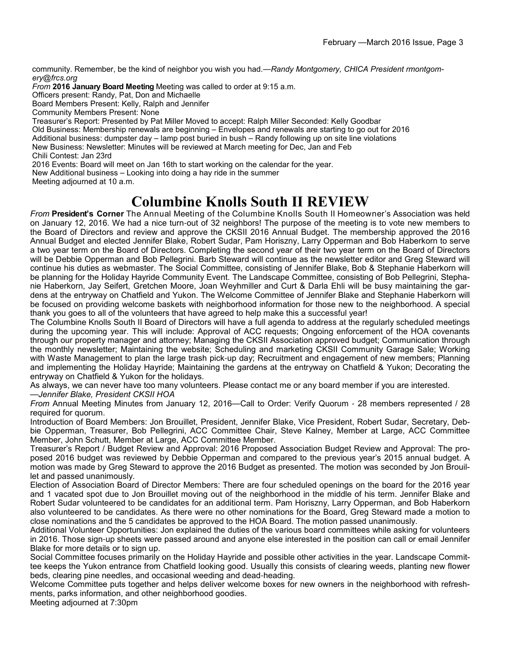community. Remember, be the kind of neighbor you wish you had.—*Randy Montgomery, CHICA President rmontgomery@frcs.org*

*From* **2016 January Board Meeting** Meeting was called to order at 9:15 a.m.

Officers present: Randy, Pat, Don and Michaelle

Board Members Present: Kelly, Ralph and Jennifer

Community Members Present: None

Treasurer's Report: Presented by Pat Miller Moved to accept: Ralph Miller Seconded: Kelly Goodbar

Old Business: Membership renewals are beginning – Envelopes and renewals are starting to go out for 2016

Additional business: dumpster day – lamp post buried in bush – Randy following up on site line violations

New Business: Newsletter: Minutes will be reviewed at March meeting for Dec, Jan and Feb

Chili Contest: Jan 23rd

2016 Events: Board will meet on Jan 16th to start working on the calendar for the year.

New Additional business – Looking into doing a hay ride in the summer

Meeting adjourned at 10 a.m.

### **Columbine Knolls South II REVIEW**

*From* **President's Corner** The Annual Meeting of the Columbine Knolls South II Homeowner's Association was held on January 12, 2016. We had a nice turn-out of 32 neighbors! The purpose of the meeting is to vote new members to the Board of Directors and review and approve the CKSII 2016 Annual Budget. The membership approved the 2016 Annual Budget and elected Jennifer Blake, Robert Sudar, Pam Horiszny, Larry Opperman and Bob Haberkorn to serve a two year term on the Board of Directors. Completing the second year of their two year term on the Board of Directors will be Debbie Opperman and Bob Pellegrini. Barb Steward will continue as the newsletter editor and Greg Steward will continue his duties as webmaster. The Social Committee, consisting of Jennifer Blake, Bob & Stephanie Haberkorn will be planning for the Holiday Hayride Community Event. The Landscape Committee, consisting of Bob Pellegrini, Stephanie Haberkorn, Jay Seifert, Gretchen Moore, Joan Weyhmiller and Curt & Darla Ehli will be busy maintaining the gardens at the entryway on Chatfield and Yukon. The Welcome Committee of Jennifer Blake and Stephanie Haberkorn will be focused on providing welcome baskets with neighborhood information for those new to the neighborhood. A special thank you goes to all of the volunteers that have agreed to help make this a successful year!

The Columbine Knolls South II Board of Directors will have a full agenda to address at the regularly scheduled meetings during the upcoming year. This will include: Approval of ACC requests; Ongoing enforcement of the HOA covenants through our property manager and attorney; Managing the CKSII Association approved budget; Communication through the monthly newsletter; Maintaining the website; Scheduling and marketing CKSII Community Garage Sale; Working with Waste Management to plan the large trash pick-up day; Recruitment and engagement of new members; Planning and implementing the Holiday Hayride; Maintaining the gardens at the entryway on Chatfield & Yukon; Decorating the entryway on Chatfield & Yukon for the holidays.

As always, we can never have too many volunteers. Please contact me or any board member if you are interested. —*Jennifer Blake, President CKSII HOA*

*From* Annual Meeting Minutes from January 12, 2016—Call to Order: Verify Quorum - 28 members represented / 28 required for quorum.

Introduction of Board Members: Jon Brouillet, President, Jennifer Blake, Vice President, Robert Sudar, Secretary, Debbie Opperman, Treasurer, Bob Pellegrini, ACC Committee Chair, Steve Kalney, Member at Large, ACC Committee Member, John Schutt, Member at Large, ACC Committee Member.

Treasurer's Report / Budget Review and Approval: 2016 Proposed Association Budget Review and Approval: The proposed 2016 budget was reviewed by Debbie Opperman and compared to the previous year's 2015 annual budget. A motion was made by Greg Steward to approve the 2016 Budget as presented. The motion was seconded by Jon Brouillet and passed unanimously.

Election of Association Board of Director Members: There are four scheduled openings on the board for the 2016 year and 1 vacated spot due to Jon Brouillet moving out of the neighborhood in the middle of his term. Jennifer Blake and Robert Sudar volunteered to be candidates for an additional term. Pam Horiszny, Larry Opperman, and Bob Haberkorn also volunteered to be candidates. As there were no other nominations for the Board, Greg Steward made a motion to close nominations and the 5 candidates be approved to the HOA Board. The motion passed unanimously.

Additional Volunteer Opportunities: Jon explained the duties of the various board committees while asking for volunteers in 2016. Those sign-up sheets were passed around and anyone else interested in the position can call or email Jennifer Blake for more details or to sign up.

Social Committee focuses primarily on the Holiday Hayride and possible other activities in the year. Landscape Committee keeps the Yukon entrance from Chatfield looking good. Usually this consists of clearing weeds, planting new flower beds, clearing pine needles, and occasional weeding and dead-heading.

Welcome Committee puts together and helps deliver welcome boxes for new owners in the neighborhood with refreshments, parks information, and other neighborhood goodies.

Meeting adjourned at 7:30pm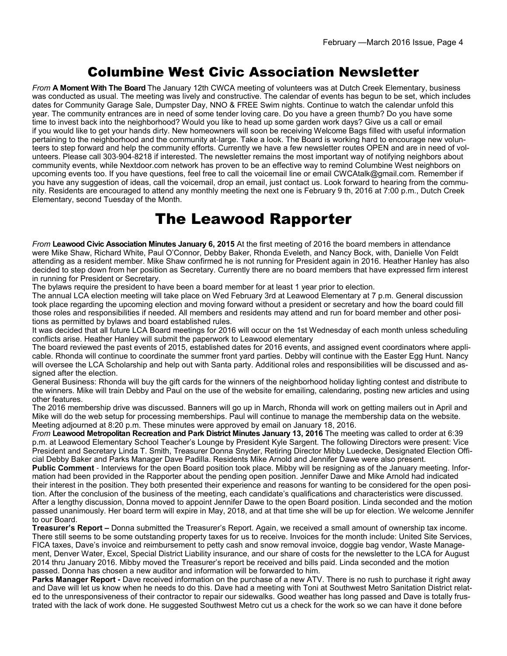#### Columbine West Civic Association Newsletter

*From* **A Moment With The Board** The January 12th CWCA meeting of volunteers was at Dutch Creek Elementary, business was conducted as usual. The meeting was lively and constructive. The calendar of events has begun to be set, which includes dates for Community Garage Sale, Dumpster Day, NNO & FREE Swim nights. Continue to watch the calendar unfold this year. The community entrances are in need of some tender loving care. Do you have a green thumb? Do you have some time to invest back into the neighborhood? Would you like to head up some garden work days? Give us a call or email if you would like to get your hands dirty. New homeowners will soon be receiving Welcome Bags filled with useful information pertaining to the neighborhood and the community at-large. Take a look. The Board is working hard to encourage new volunteers to step forward and help the community efforts. Currently we have a few newsletter routes OPEN and are in need of volunteers. Please call 303-904-8218 if interested. The newsletter remains the most important way of notifying neighbors about community events, while Nextdoor.com network has proven to be an effective way to remind Columbine West neighbors on upcoming events too. If you have questions, feel free to call the voicemail line or email CWCAtalk@gmail.com. Remember if you have any suggestion of ideas, call the voicemail, drop an email, just contact us. Look forward to hearing from the community. Residents are encouraged to attend any monthly meeting the next one is February 9 th, 2016 at 7:00 p.m., Dutch Creek Elementary, second Tuesday of the Month.

## The Leawood Rapporter

*From* **Leawood Civic Association Minutes January 6, 2015** At the first meeting of 2016 the board members in attendance were Mike Shaw, Richard White, Paul O'Connor, Debby Baker, Rhonda Eveleth, and Nancy Bock, with, Danielle Von Feldt attending as a resident member. Mike Shaw confirmed he is not running for President again in 2016. Heather Hanley has also decided to step down from her position as Secretary. Currently there are no board members that have expressed firm interest in running for President or Secretary.

The bylaws require the president to have been a board member for at least 1 year prior to election.

The annual LCA election meeting will take place on Wed February 3rd at Leawood Elementary at 7 p.m. General discussion took place regarding the upcoming election and moving forward without a president or secretary and how the board could fill those roles and responsibilities if needed. All members and residents may attend and run for board member and other positions as permitted by bylaws and board established rules.

It was decided that all future LCA Board meetings for 2016 will occur on the 1st Wednesday of each month unless scheduling conflicts arise. Heather Hanley will submit the paperwork to Leawood elementary

The board reviewed the past events of 2015, established dates for 2016 events, and assigned event coordinators where applicable. Rhonda will continue to coordinate the summer front yard parties. Debby will continue with the Easter Egg Hunt. Nancy will oversee the LCA Scholarship and help out with Santa party. Additional roles and responsibilities will be discussed and assigned after the election.

General Business: Rhonda will buy the gift cards for the winners of the neighborhood holiday lighting contest and distribute to the winners. Mike will train Debby and Paul on the use of the website for emailing, calendaring, posting new articles and using other features.

The 2016 membership drive was discussed. Banners will go up in March, Rhonda will work on getting mailers out in April and Mike will do the web setup for processing memberships. Paul will continue to manage the membership data on the website. Meeting adjourned at 8:20 p.m. These minutes were approved by email on January 18, 2016.

*From* **Leawood Metropolitan Recreation and Park District Minutes January 13, 2016** The meeting was called to order at 6:39 p.m. at Leawood Elementary School Teacher's Lounge by President Kyle Sargent. The following Directors were present: Vice President and Secretary Linda T. Smith, Treasurer Donna Snyder, Retiring Director Mibby Luedecke, Designated Election Official Debby Baker and Parks Manager Dave Padilla. Residents Mike Arnold and Jennifer Dawe were also present.

**Public Comment** - Interviews for the open Board position took place. Mibby will be resigning as of the January meeting. Information had been provided in the Rapporter about the pending open position. Jennifer Dawe and Mike Arnold had indicated their interest in the position. They both presented their experience and reasons for wanting to be considered for the open position. After the conclusion of the business of the meeting, each candidate's qualifications and characteristics were discussed. After a lengthy discussion, Donna moved to appoint Jennifer Dawe to the open Board position. Linda seconded and the motion passed unanimously. Her board term will expire in May, 2018, and at that time she will be up for election. We welcome Jennifer to our Board.

**Treasurer's Report –** Donna submitted the Treasurer's Report. Again, we received a small amount of ownership tax income. There still seems to be some outstanding property taxes for us to receive. Invoices for the month include: United Site Services, FICA taxes, Dave's invoice and reimbursement to petty cash and snow removal invoice, doggie bag vendor, Waste Management, Denver Water, Excel, Special District Liability insurance, and our share of costs for the newsletter to the LCA for August 2014 thru January 2016. Mibby moved the Treasurer's report be received and bills paid. Linda seconded and the motion passed. Donna has chosen a new auditor and information will be forwarded to him.

**Parks Manager Report -** Dave received information on the purchase of a new ATV. There is no rush to purchase it right away and Dave will let us know when he needs to do this. Dave had a meeting with Toni at Southwest Metro Sanitation District related to the unresponsiveness of their contractor to repair our sidewalks. Good weather has long passed and Dave is totally frustrated with the lack of work done. He suggested Southwest Metro cut us a check for the work so we can have it done before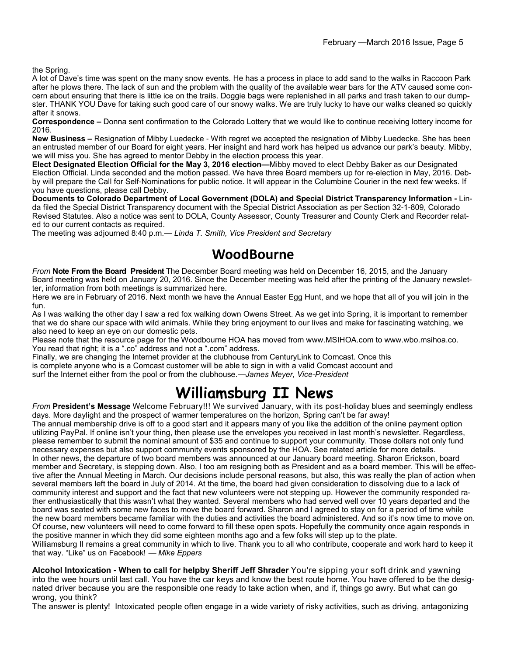the Spring.

A lot of Dave's time was spent on the many snow events. He has a process in place to add sand to the walks in Raccoon Park after he plows there. The lack of sun and the problem with the quality of the available wear bars for the ATV caused some concern about ensuring that there is little ice on the trails. Doggie bags were replenished in all parks and trash taken to our dumpster. THANK YOU Dave for taking such good care of our snowy walks. We are truly lucky to have our walks cleaned so quickly after it snows.

**Correspondence –** Donna sent confirmation to the Colorado Lottery that we would like to continue receiving lottery income for 2016.

**New Business –** Resignation of Mibby Luedecke - With regret we accepted the resignation of Mibby Luedecke. She has been an entrusted member of our Board for eight years. Her insight and hard work has helped us advance our park's beauty. Mibby, we will miss you. She has agreed to mentor Debby in the election process this year.

**Elect Designated Election Official for the May 3, 2016 election—**Mibby moved to elect Debby Baker as our Designated Election Official. Linda seconded and the motion passed. We have three Board members up for re-election in May, 2016. Debby will prepare the Call for Self-Nominations for public notice. It will appear in the Columbine Courier in the next few weeks. If you have questions, please call Debby.

**Documents to Colorado Department of Local Government (DOLA) and Special District Transparency Information -** Linda filed the Special District Transparency document with the Special District Association as per Section 32-1-809, Colorado Revised Statutes. Also a notice was sent to DOLA, County Assessor, County Treasurer and County Clerk and Recorder related to our current contacts as required.

The meeting was adjourned 8:40 p.m.— *Linda T. Smith, Vice President and Secretary*

#### **WoodBourne**

*From* **Note From the Board President** The December Board meeting was held on December 16, 2015, and the January Board meeting was held on January 20, 2016. Since the December meeting was held after the printing of the January newsletter, information from both meetings is summarized here.

Here we are in February of 2016. Next month we have the Annual Easter Egg Hunt, and we hope that all of you will join in the fun.

As I was walking the other day I saw a red fox walking down Owens Street. As we get into Spring, it is important to remember that we do share our space with wild animals. While they bring enjoyment to our lives and make for fascinating watching, we also need to keep an eye on our domestic pets.

Please note that the resource page for the Woodbourne HOA has moved from www.MSIHOA.com to www.wbo.msihoa.co. You read that right; it is a ".co" address and not a ".com" address.

Finally, we are changing the Internet provider at the clubhouse from CenturyLink to Comcast. Once this is complete anyone who is a Comcast customer will be able to sign in with a valid Comcast account and surf the Internet either from the pool or from the clubhouse.—*James Meyer, Vice*-*President*

## **Williamsburg II News**

*From* **President's Message** Welcome February!!! We survived January, with its post-holiday blues and seemingly endless days. More daylight and the prospect of warmer temperatures on the horizon, Spring can't be far away!

The annual membership drive is off to a good start and it appears many of you like the addition of the online payment option utilizing PayPal. If online isn't your thing, then please use the envelopes you received in last month's newsletter. Regardless, please remember to submit the nominal amount of \$35 and continue to support your community. Those dollars not only fund necessary expenses but also support community events sponsored by the HOA. See related article for more details. In other news, the departure of two board members was announced at our January board meeting. Sharon Erickson, board member and Secretary, is stepping down. Also, I too am resigning both as President and as a board member. This will be effective after the Annual Meeting in March. Our decisions include personal reasons, but also, this was really the plan of action when several members left the board in July of 2014. At the time, the board had given consideration to dissolving due to a lack of community interest and support and the fact that new volunteers were not stepping up. However the community responded rather enthusiastically that this wasn't what they wanted. Several members who had served well over 10 years departed and the board was seated with some new faces to move the board forward. Sharon and I agreed to stay on for a period of time while the new board members became familiar with the duties and activities the board administered. And so it's now time to move on. Of course, new volunteers will need to come forward to fill these open spots. Hopefully the community once again responds in the positive manner in which they did some eighteen months ago and a few folks will step up to the plate.

Williamsburg II remains a great community in which to live. Thank you to all who contribute, cooperate and work hard to keep it that way. "Like" us on Facebook! — *Mike Eppers*

**Alcohol Intoxication - When to call for helpby Sheriff Jeff Shrader** You're sipping your soft drink and yawning into the wee hours until last call. You have the car keys and know the best route home. You have offered to be the designated driver because you are the responsible one ready to take action when, and if, things go awry. But what can go wrong, you think?

The answer is plenty! Intoxicated people often engage in a wide variety of risky activities, such as driving, antagonizing